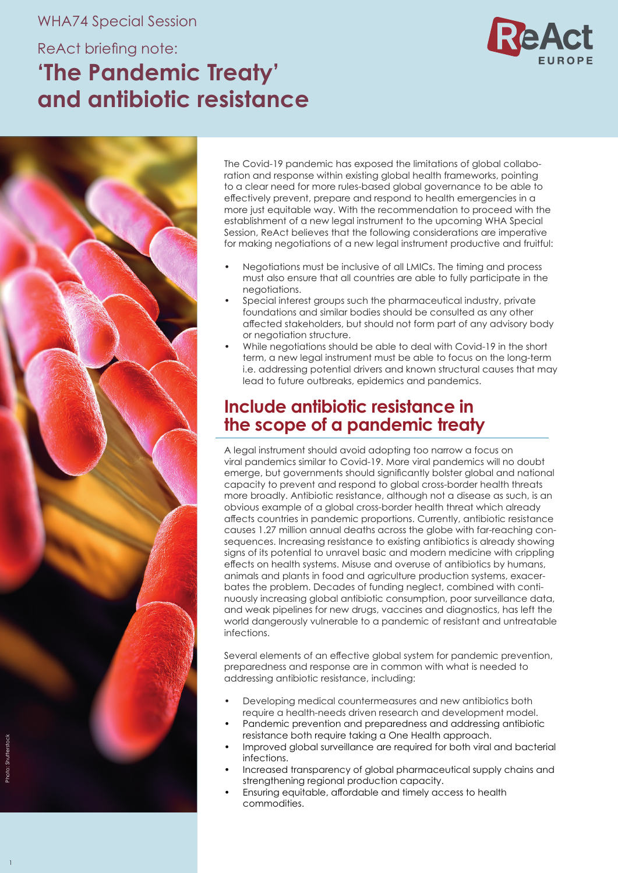#### WHA74 Special Session

# ReAct briefing note: **'The Pandemic Treaty' and antibiotic resistance**





The Covid-19 pandemic has exposed the limitations of global collaboration and response within existing global health frameworks, pointing to a clear need for more rules-based global governance to be able to effectively prevent, prepare and respond to health emergencies in a more just equitable way. With the recommendation to proceed with the establishment of a new legal instrument to the upcoming WHA Special Session, ReAct believes that the following considerations are imperative for making negotiations of a new legal instrument productive and fruitful:

- Negotiations must be inclusive of all LMICs. The timing and process must also ensure that all countries are able to fully participate in the negotiations.
- Special interest groups such the pharmaceutical industry, private foundations and similar bodies should be consulted as any other affected stakeholders, but should not form part of any advisory body or negotiation structure.
- While negotiations should be able to deal with Covid-19 in the short term, a new legal instrument must be able to focus on the long-term i.e. addressing potential drivers and known structural causes that may lead to future outbreaks, epidemics and pandemics.

# **Include antibiotic resistance in the scope of a pandemic treaty**

A legal instrument should avoid adopting too narrow a focus on viral pandemics similar to Covid-19. More viral pandemics will no doubt emerge, but governments should significantly bolster global and national capacity to prevent and respond to global cross-border health threats more broadly. Antibiotic resistance, although not a disease as such, is an obvious example of a global cross-border health threat which already affects countries in pandemic proportions. Currently, antibiotic resistance causes 1.27 million annual deaths across the globe with far-reaching consequences. Increasing resistance to existing antibiotics is already showing signs of its potential to unravel basic and modern medicine with crippling effects on health systems. Misuse and overuse of antibiotics by humans, animals and plants in food and agriculture production systems, exacerbates the problem. Decades of funding neglect, combined with continuously increasing global antibiotic consumption, poor surveillance data, and weak pipelines for new drugs, vaccines and diagnostics, has left the world dangerously vulnerable to a pandemic of resistant and untreatable infections.

Several elements of an effective global system for pandemic prevention, preparedness and response are in common with what is needed to addressing antibiotic resistance, including:

- Developing medical countermeasures and new antibiotics both require a health-needs driven research and development model.
- Pandemic prevention and preparedness and addressing antibiotic resistance both require taking a One Health approach.
- Improved global surveillance are required for both viral and bacterial infections.
- Increased transparency of global pharmaceutical supply chains and strengthening regional production capacity.
- Ensuring equitable, affordable and timely access to health commodities.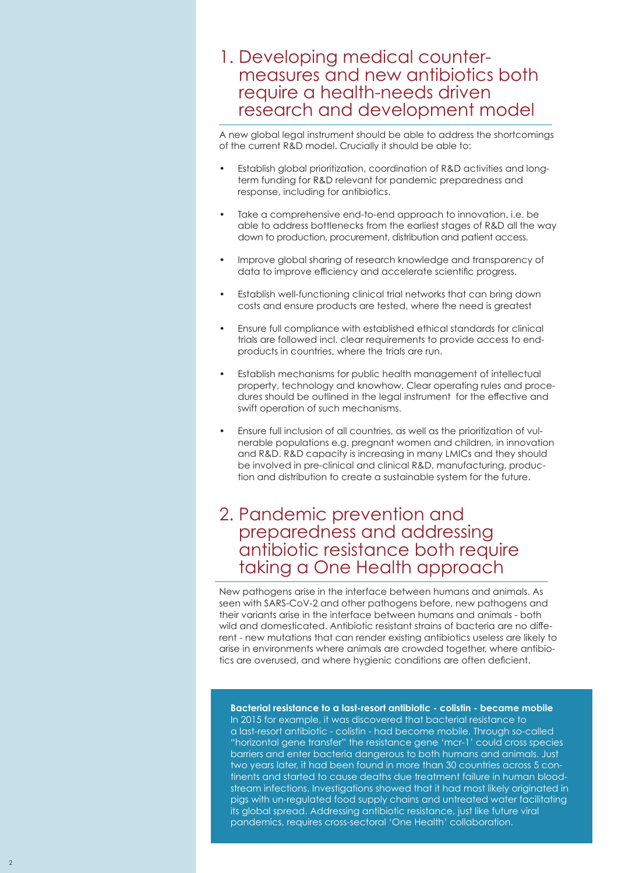## 1. Developing medical counter measures and new antibiotics both require a health-needs driven research and development model

A new global legal instrument should be able to address the shortcomings of the current R&D model. Crucially it should be able to:

- Establish global prioritization, coordination of R&D activities and longterm funding for R&D relevant for pandemic preparedness and response, including for antibiotics.
- Take a comprehensive end-to-end approach to innovation, i.e. be able to address bottlenecks from the earliest stages of R&D all the way down to production, procurement, distribution and patient access.
- Improve global sharing of research knowledge and transparency of data to improve efficiency and accelerate scientific progress.
- Establish well-functioning clinical trial networks that can bring down costs and ensure products are tested, where the need is greatest
- Ensure full compliance with established ethical standards for clinical trials are followed incl. clear requirements to provide access to endproducts in countries, where the trials are run.
- Establish mechanisms for public health management of intellectual property, technology and knowhow. Clear operating rules and procedures should be outlined in the legal instrument for the effective and swift operation of such mechanisms.
- Ensure full inclusion of all countries, as well as the prioritization of vulnerable populations e.g. pregnant women and children, in innovation and R&D. R&D capacity is increasing in many LMICs and they should be involved in pre-clinical and clinical R&D, manufacturing, production and distribution to create a sustainable system for the future.

## 2. Pandemic prevention and preparedness and addressing antibiotic resistance both require taking a One Health approach

New pathogens arise in the interface between humans and animals. As seen with SARS-CoV-2 and other pathogens before, new pathogens and their variants arise in the interface between humans and animals - both wild and domesticated. Antibiotic resistant strains of bacteria are no different - new mutations that can render existing antibiotics useless are likely to arise in environments where animals are crowded together, where antibiotics are overused, and where hygienic conditions are often deficient.

**Bacterial resistance to a last-resort antibiotic - colistin - became mobile** In 2015 for example, it was discovered that bacterial resistance to a last-resort antibiotic - colistin - had become mobile. Through so-called "horizontal gene transfer" the resistance gene 'mcr-1' could cross species barriers and enter bacteria dangerous to both humans and animals. Just two years later, it had been found in more than 30 countries across 5 continents and started to cause deaths due treatment failure in human bloodstream infections. Investigations showed that it had most likely originated in pigs with un-regulated food supply chains and untreated water facilitating its global spread. Addressing antibiotic resistance, just like future viral pandemics, requires cross-sectoral 'One Health' collaboration.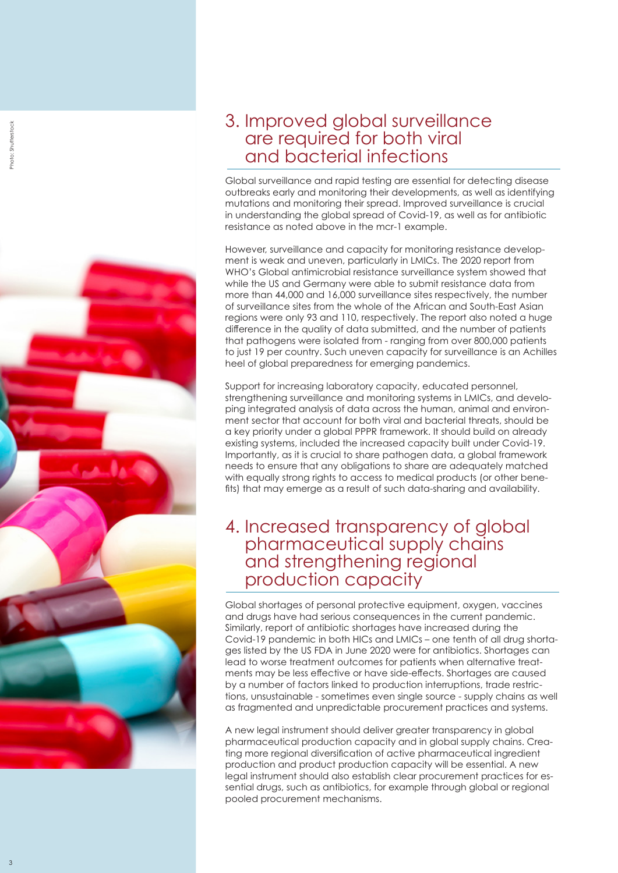

# 3. Improved global surveillance are required for both viral and bacterial infections

Global surveillance and rapid testing are essential for detecting disease outbreaks early and monitoring their developments, as well as identifying mutations and monitoring their spread. Improved surveillance is crucial in understanding the global spread of Covid-19, as well as for antibiotic resistance as noted above in the mcr-1 example.

However, surveillance and capacity for monitoring resistance develop ment is weak and uneven, particularly in LMICs. The 2020 report from WHO's Global antimicrobial resistance surveillance system showed that while the US and Germany were able to submit resistance data from more than 44,000 and 16,000 surveillance sites respectively, the number of surveillance sites from the whole of the African and South-East Asian regions were only 93 and 110, respectively. The report also noted a huge difference in the quality of data submitted, and the number of patients that pathogens were isolated from - ranging from over 800,000 patients to just 19 per country. Such uneven capacity for surveillance is an Achilles heel of global preparedness for emerging pandemics.

Support for increasing laboratory capacity, educated personnel, strengthening surveillance and monitoring systems in LMICs, and develo ping integrated analysis of data across the human, animal and environ ment sector that account for both viral and bacterial threats, should be a key priority under a global PPPR framework. It should build on already existing systems, included the increased capacity built under Covid-19. Importantly, as it is crucial to share pathogen data, a global framework needs to ensure that any obligations to share are adequately matched with equally strong rights to access to medical products (or other bene fits) that may emerge as a result of such data-sharing and availability.

## 4. Increased transparency of global pharmaceutical supply chains and strengthening regional production capacity

Global shortages of personal protective equipment, oxygen, vaccines and drugs have had serious consequences in the current pandemic. Similarly, report of antibiotic shortages have increased during the Covid-19 pandemic in both HICs and LMICs – one tenth of all drug shorta ges listed by the US FDA in June 2020 were for antibiotics. Shortages can lead to worse treatment outcomes for patients when alternative treat ments may be less effective or have side-effects. Shortages are caused by a number of factors linked to production interruptions, trade restric tions, unsustainable - sometimes even single source - supply chains as well as fragmented and unpredictable procurement practices and systems.

A new legal instrument should deliver greater transparency in global pharmaceutical production capacity and in global supply chains. Crea ting more regional diversification of active pharmaceutical ingredient production and product production capacity will be essential. A new legal instrument should also establish clear procurement practices for es sential drugs, such as antibiotics, for example through global or regional pooled procurement mechanisms.